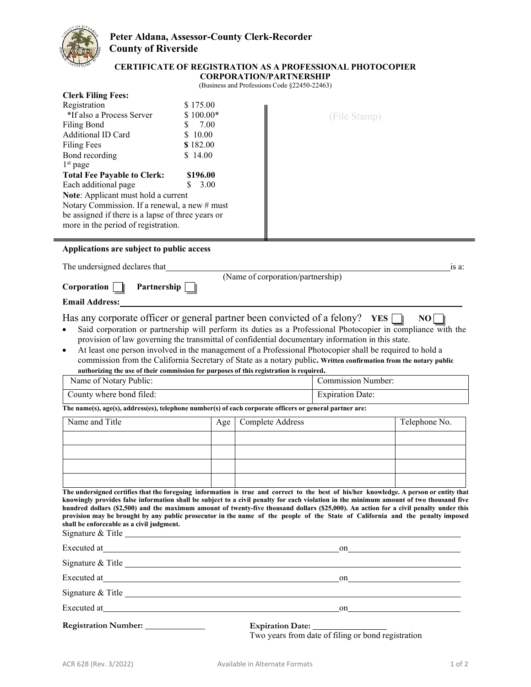

# **Peter Aldana, Assessor-County Clerk-Recorder County of Riverside**

# **CERTIFICATE OF REGISTRATION AS A PROFESSIONAL PHOTOCOPIER CORPORATION/PARTNERSHIP**

(Business and Professions Code §22450-22463)

| <b>Clerk Filing Fees:</b>                                                                                                                                                                                                                                                                                                                                                                                                                                                                                                                                                                                                                                                                                                                                                                                                                                                                                                                                                                                                                                                              |            |                                   |                           |               |
|----------------------------------------------------------------------------------------------------------------------------------------------------------------------------------------------------------------------------------------------------------------------------------------------------------------------------------------------------------------------------------------------------------------------------------------------------------------------------------------------------------------------------------------------------------------------------------------------------------------------------------------------------------------------------------------------------------------------------------------------------------------------------------------------------------------------------------------------------------------------------------------------------------------------------------------------------------------------------------------------------------------------------------------------------------------------------------------|------------|-----------------------------------|---------------------------|---------------|
| Registration                                                                                                                                                                                                                                                                                                                                                                                                                                                                                                                                                                                                                                                                                                                                                                                                                                                                                                                                                                                                                                                                           | \$175.00   |                                   |                           |               |
| *If also a Process Server                                                                                                                                                                                                                                                                                                                                                                                                                                                                                                                                                                                                                                                                                                                                                                                                                                                                                                                                                                                                                                                              | $$100.00*$ |                                   | (File Stamp)              |               |
| <b>Filing Bond</b>                                                                                                                                                                                                                                                                                                                                                                                                                                                                                                                                                                                                                                                                                                                                                                                                                                                                                                                                                                                                                                                                     | 7.00       |                                   |                           |               |
| Additional ID Card                                                                                                                                                                                                                                                                                                                                                                                                                                                                                                                                                                                                                                                                                                                                                                                                                                                                                                                                                                                                                                                                     | \$10.00    |                                   |                           |               |
| <b>Filing Fees</b>                                                                                                                                                                                                                                                                                                                                                                                                                                                                                                                                                                                                                                                                                                                                                                                                                                                                                                                                                                                                                                                                     | \$182.00   |                                   |                           |               |
| Bond recording<br>$1st$ page                                                                                                                                                                                                                                                                                                                                                                                                                                                                                                                                                                                                                                                                                                                                                                                                                                                                                                                                                                                                                                                           | \$14.00    |                                   |                           |               |
| <b>Total Fee Payable to Clerk:</b>                                                                                                                                                                                                                                                                                                                                                                                                                                                                                                                                                                                                                                                                                                                                                                                                                                                                                                                                                                                                                                                     | \$196.00   |                                   |                           |               |
| Each additional page                                                                                                                                                                                                                                                                                                                                                                                                                                                                                                                                                                                                                                                                                                                                                                                                                                                                                                                                                                                                                                                                   | 3.00<br>S. |                                   |                           |               |
| Note: Applicant must hold a current                                                                                                                                                                                                                                                                                                                                                                                                                                                                                                                                                                                                                                                                                                                                                                                                                                                                                                                                                                                                                                                    |            |                                   |                           |               |
| Notary Commission. If a renewal, a new # must                                                                                                                                                                                                                                                                                                                                                                                                                                                                                                                                                                                                                                                                                                                                                                                                                                                                                                                                                                                                                                          |            |                                   |                           |               |
| be assigned if there is a lapse of three years or                                                                                                                                                                                                                                                                                                                                                                                                                                                                                                                                                                                                                                                                                                                                                                                                                                                                                                                                                                                                                                      |            |                                   |                           |               |
| more in the period of registration.                                                                                                                                                                                                                                                                                                                                                                                                                                                                                                                                                                                                                                                                                                                                                                                                                                                                                                                                                                                                                                                    |            |                                   |                           |               |
|                                                                                                                                                                                                                                                                                                                                                                                                                                                                                                                                                                                                                                                                                                                                                                                                                                                                                                                                                                                                                                                                                        |            |                                   |                           |               |
| Applications are subject to public access                                                                                                                                                                                                                                                                                                                                                                                                                                                                                                                                                                                                                                                                                                                                                                                                                                                                                                                                                                                                                                              |            |                                   |                           |               |
| The undersigned declares that                                                                                                                                                                                                                                                                                                                                                                                                                                                                                                                                                                                                                                                                                                                                                                                                                                                                                                                                                                                                                                                          |            |                                   |                           | $i$ s a:      |
|                                                                                                                                                                                                                                                                                                                                                                                                                                                                                                                                                                                                                                                                                                                                                                                                                                                                                                                                                                                                                                                                                        |            | (Name of corporation/partnership) |                           |               |
| Corporation<br>Partnership                                                                                                                                                                                                                                                                                                                                                                                                                                                                                                                                                                                                                                                                                                                                                                                                                                                                                                                                                                                                                                                             |            |                                   |                           |               |
| <b>Email Address:</b>                                                                                                                                                                                                                                                                                                                                                                                                                                                                                                                                                                                                                                                                                                                                                                                                                                                                                                                                                                                                                                                                  |            |                                   |                           |               |
| Has any corporate officer or general partner been convicted of a felony? YES [                                                                                                                                                                                                                                                                                                                                                                                                                                                                                                                                                                                                                                                                                                                                                                                                                                                                                                                                                                                                         |            |                                   |                           | NO            |
| Said corporation or partnership will perform its duties as a Professional Photocopier in compliance with the                                                                                                                                                                                                                                                                                                                                                                                                                                                                                                                                                                                                                                                                                                                                                                                                                                                                                                                                                                           |            |                                   |                           |               |
| provision of law governing the transmittal of confidential documentary information in this state.                                                                                                                                                                                                                                                                                                                                                                                                                                                                                                                                                                                                                                                                                                                                                                                                                                                                                                                                                                                      |            |                                   |                           |               |
| At least one person involved in the management of a Professional Photocopier shall be required to hold a<br>٠                                                                                                                                                                                                                                                                                                                                                                                                                                                                                                                                                                                                                                                                                                                                                                                                                                                                                                                                                                          |            |                                   |                           |               |
| commission from the California Secretary of State as a notary public. Written confirmation from the notary public                                                                                                                                                                                                                                                                                                                                                                                                                                                                                                                                                                                                                                                                                                                                                                                                                                                                                                                                                                      |            |                                   |                           |               |
| authorizing the use of their commission for purposes of this registration is required.                                                                                                                                                                                                                                                                                                                                                                                                                                                                                                                                                                                                                                                                                                                                                                                                                                                                                                                                                                                                 |            |                                   |                           |               |
| Name of Notary Public:                                                                                                                                                                                                                                                                                                                                                                                                                                                                                                                                                                                                                                                                                                                                                                                                                                                                                                                                                                                                                                                                 |            |                                   | <b>Commission Number:</b> |               |
| County where bond filed:                                                                                                                                                                                                                                                                                                                                                                                                                                                                                                                                                                                                                                                                                                                                                                                                                                                                                                                                                                                                                                                               |            |                                   | <b>Expiration Date:</b>   |               |
| The name(s), age(s), address(es), telephone number(s) of each corporate officers or general partner are:                                                                                                                                                                                                                                                                                                                                                                                                                                                                                                                                                                                                                                                                                                                                                                                                                                                                                                                                                                               |            |                                   |                           |               |
| Name and Title                                                                                                                                                                                                                                                                                                                                                                                                                                                                                                                                                                                                                                                                                                                                                                                                                                                                                                                                                                                                                                                                         | Age        | Complete Address                  |                           | Telephone No. |
|                                                                                                                                                                                                                                                                                                                                                                                                                                                                                                                                                                                                                                                                                                                                                                                                                                                                                                                                                                                                                                                                                        |            |                                   |                           |               |
|                                                                                                                                                                                                                                                                                                                                                                                                                                                                                                                                                                                                                                                                                                                                                                                                                                                                                                                                                                                                                                                                                        |            |                                   |                           |               |
|                                                                                                                                                                                                                                                                                                                                                                                                                                                                                                                                                                                                                                                                                                                                                                                                                                                                                                                                                                                                                                                                                        |            |                                   |                           |               |
|                                                                                                                                                                                                                                                                                                                                                                                                                                                                                                                                                                                                                                                                                                                                                                                                                                                                                                                                                                                                                                                                                        |            |                                   |                           |               |
|                                                                                                                                                                                                                                                                                                                                                                                                                                                                                                                                                                                                                                                                                                                                                                                                                                                                                                                                                                                                                                                                                        |            |                                   |                           |               |
|                                                                                                                                                                                                                                                                                                                                                                                                                                                                                                                                                                                                                                                                                                                                                                                                                                                                                                                                                                                                                                                                                        |            |                                   |                           |               |
|                                                                                                                                                                                                                                                                                                                                                                                                                                                                                                                                                                                                                                                                                                                                                                                                                                                                                                                                                                                                                                                                                        |            |                                   |                           |               |
|                                                                                                                                                                                                                                                                                                                                                                                                                                                                                                                                                                                                                                                                                                                                                                                                                                                                                                                                                                                                                                                                                        |            |                                   |                           |               |
|                                                                                                                                                                                                                                                                                                                                                                                                                                                                                                                                                                                                                                                                                                                                                                                                                                                                                                                                                                                                                                                                                        |            |                                   |                           |               |
|                                                                                                                                                                                                                                                                                                                                                                                                                                                                                                                                                                                                                                                                                                                                                                                                                                                                                                                                                                                                                                                                                        |            |                                   |                           |               |
|                                                                                                                                                                                                                                                                                                                                                                                                                                                                                                                                                                                                                                                                                                                                                                                                                                                                                                                                                                                                                                                                                        |            |                                   |                           |               |
|                                                                                                                                                                                                                                                                                                                                                                                                                                                                                                                                                                                                                                                                                                                                                                                                                                                                                                                                                                                                                                                                                        |            |                                   |                           |               |
|                                                                                                                                                                                                                                                                                                                                                                                                                                                                                                                                                                                                                                                                                                                                                                                                                                                                                                                                                                                                                                                                                        |            |                                   |                           |               |
|                                                                                                                                                                                                                                                                                                                                                                                                                                                                                                                                                                                                                                                                                                                                                                                                                                                                                                                                                                                                                                                                                        |            |                                   |                           |               |
|                                                                                                                                                                                                                                                                                                                                                                                                                                                                                                                                                                                                                                                                                                                                                                                                                                                                                                                                                                                                                                                                                        |            |                                   |                           |               |
| The undersigned certifies that the foregoing information is true and correct to the best of his/her knowledge. A person or entity that<br>knowingly provides false information shall be subject to a civil penalty for each violation in the minimum amount of two thousand five<br>hundred dollars (\$2,500) and the maximum amount of twenty-five thousand dollars (\$25,000). An action for a civil penalty under this<br>provision may be brought by any public prosecutor in the name of the people of the State of California and the penalty imposed<br>shall be enforceable as a civil judgment.<br>Executed at <u>contract and contract at</u> the contract of the contract of the contract of the contract of the contract of the contract of the contract of the contract of the contract of the contract of the contract of the con<br>Executed at <u>contract and contract at</u> contract and contract at the contract of the contract of the contract of the contract of the contract of the contract of the contract of the contract of the contract of the contract o |            |                                   |                           |               |
| Executed at <u>the contract of the contract of the contract of the contract of the contract of the contract of the contract of the contract of the contract of the contract of the contract of the contract of the contract of t</u><br>Registration Number: ______________                                                                                                                                                                                                                                                                                                                                                                                                                                                                                                                                                                                                                                                                                                                                                                                                            |            |                                   |                           |               |